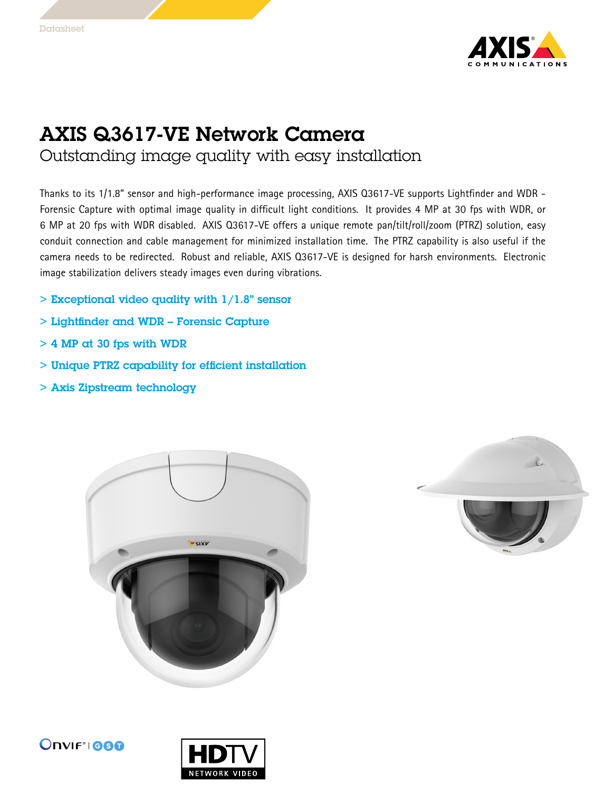

## AXIS Q3617-VE Network Camera

Outstanding image quality with easy installation

Thanks to its 1/1.8" sensor and high-performance image processing, AXIS Q3617-VE supports Lightfinder and WDR - Forensic Capture with optimal image quality in difficult light conditions. It provides <sup>4</sup> MP at 30 fps with WDR, or <sup>6</sup> MP at <sup>20</sup> fps with WDR disabled. AXIS Q3617-VE offers <sup>a</sup> unique remote pan/tilt/roll/zoom (PTRZ) solution, easy conduit connection and cable management for minimized installation time. The PTRZ capability is also useful if the camera needs to be redirected. Robust and reliable, AXIS Q3617-VE is designed for harsh environments. Electronic image stabilization delivers steady images even during vibrations.

- $>$  Exceptional video quality with  $1/1.8"$  sensor
- > Lightfinder and WDR Forensic Capture
- $>$  4 MP at 30 fps with WDR
- > Unique PTRZ capability for efficient installation
- > Axis Zipstream technology